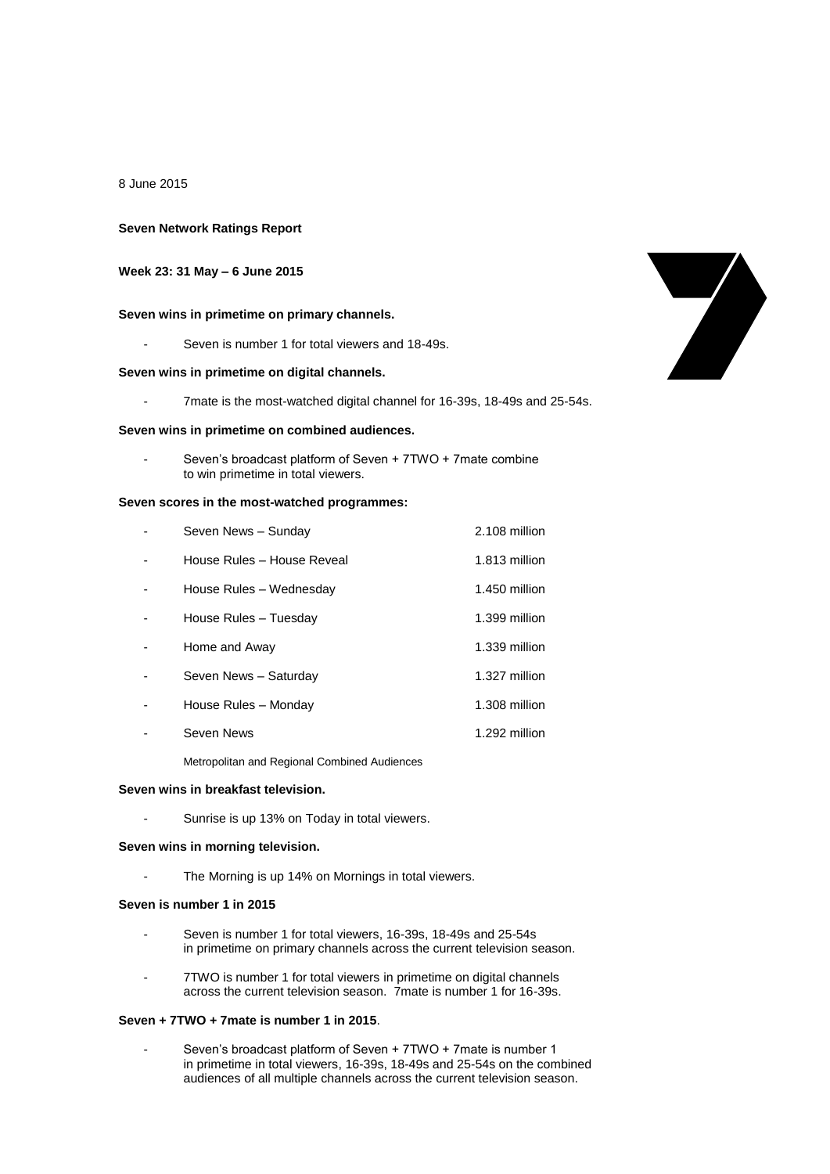8 June 2015

### **Seven Network Ratings Report**

## **Week 23: 31 May – 6 June 2015**

### **Seven wins in primetime on primary channels.**

Seven is number 1 for total viewers and 18-49s.

### **Seven wins in primetime on digital channels.**

- 7mate is the most-watched digital channel for 16-39s, 18-49s and 25-54s.

### **Seven wins in primetime on combined audiences.**

Seven's broadcast platform of Seven + 7TWO + 7mate combine to win primetime in total viewers.

### **Seven scores in the most-watched programmes:**

| Seven News - Sunday        | 2.108 million |
|----------------------------|---------------|
| House Rules - House Reveal | 1.813 million |
| House Rules - Wednesday    | 1.450 million |
| House Rules - Tuesday      | 1.399 million |
| Home and Away              | 1.339 million |
| Seven News - Saturday      | 1.327 million |
| House Rules - Monday       | 1.308 million |
| Seven News                 | 1.292 million |
|                            |               |

Metropolitan and Regional Combined Audiences

### **Seven wins in breakfast television.**

- Sunrise is up 13% on Today in total viewers.

### **Seven wins in morning television.**

The Morning is up 14% on Mornings in total viewers.

## **Seven is number 1 in 2015**

- Seven is number 1 for total viewers, 16-39s, 18-49s and 25-54s in primetime on primary channels across the current television season.
- 7TWO is number 1 for total viewers in primetime on digital channels across the current television season. 7mate is number 1 for 16-39s.

### **Seven + 7TWO + 7mate is number 1 in 2015**.

Seven's broadcast platform of Seven + 7TWO + 7mate is number 1 in primetime in total viewers, 16-39s, 18-49s and 25-54s on the combined audiences of all multiple channels across the current television season.

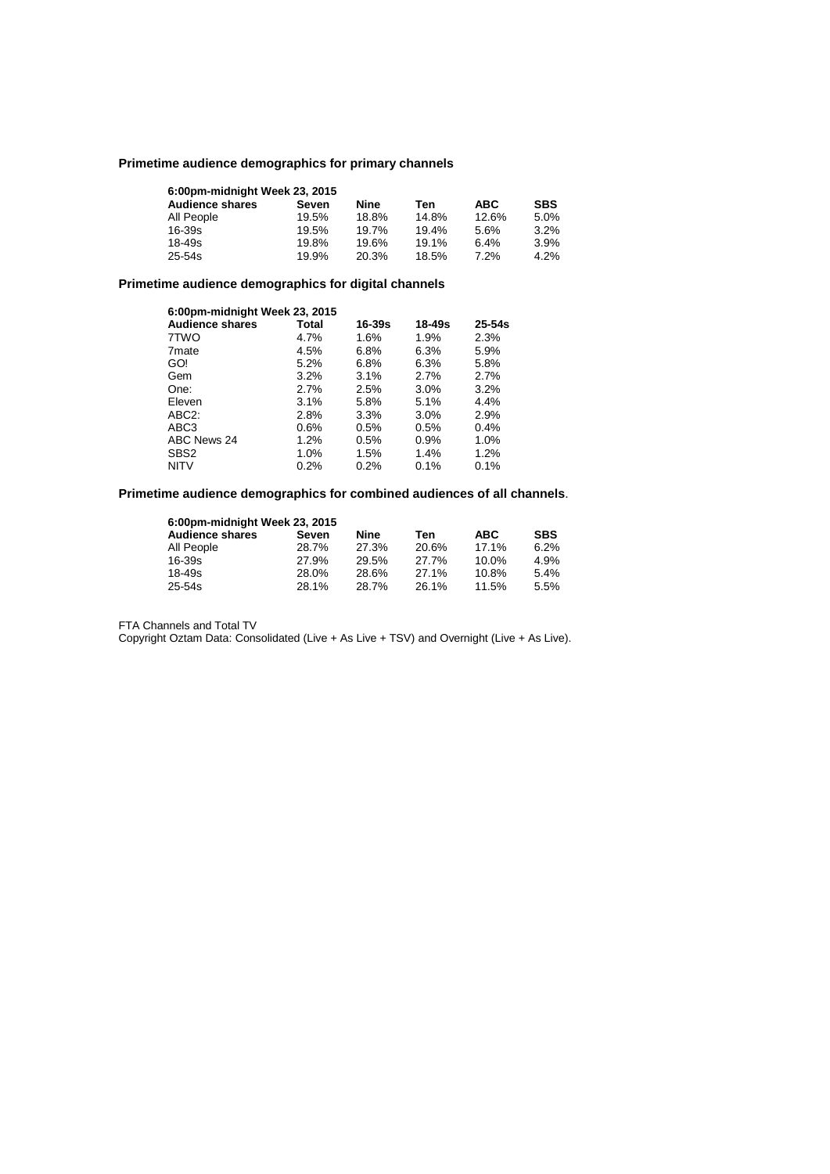# **Primetime audience demographics for primary channels**

| 6.00pm-midnight Week 23, 2015 |       |       |       |            |            |
|-------------------------------|-------|-------|-------|------------|------------|
| <b>Audience shares</b>        | Seven | Nine  | Ten   | <b>ABC</b> | <b>SBS</b> |
| All People                    | 19.5% | 18.8% | 14.8% | 12.6%      | 5.0%       |
| $16 - 39s$                    | 19.5% | 19.7% | 19.4% | 5.6%       | 3.2%       |
| 18-49s                        | 19.8% | 19.6% | 19.1% | 6.4%       | 3.9%       |
| $25 - 54s$                    | 19.9% | 20.3% | 18.5% | 7.2%       | 4.2%       |

# **Primetime audience demographics for digital channels**

| 6:00pm-midnight Week 23, 2015 |       |            |        |            |
|-------------------------------|-------|------------|--------|------------|
| <b>Audience shares</b>        | Total | $16 - 39s$ | 18-49s | $25 - 54s$ |
| 7TWO                          | 4.7%  | 1.6%       | 1.9%   | 2.3%       |
| 7 <sub>mate</sub>             | 4.5%  | 6.8%       | 6.3%   | 5.9%       |
| GO!                           | 5.2%  | 6.8%       | 6.3%   | 5.8%       |
| Gem                           | 3.2%  | 3.1%       | 2.7%   | 2.7%       |
| One:                          | 2.7%  | 2.5%       | 3.0%   | 3.2%       |
| Eleven                        | 3.1%  | 5.8%       | 5.1%   | 4.4%       |
| ABC <sub>2</sub> :            | 2.8%  | 3.3%       | 3.0%   | 2.9%       |
| ABC3                          | 0.6%  | 0.5%       | 0.5%   | 0.4%       |
| ABC News 24                   | 1.2%  | 0.5%       | 0.9%   | 1.0%       |
| SBS <sub>2</sub>              | 1.0%  | 1.5%       | 1.4%   | 1.2%       |
| <b>NITV</b>                   | 0.2%  | 0.2%       | 0.1%   | 0.1%       |

# **Primetime audience demographics for combined audiences of all channels**.

| 6:00pm-midnight Week 23, 2015 |       |       |       |            |            |
|-------------------------------|-------|-------|-------|------------|------------|
| <b>Audience shares</b>        | Seven | Nine  | Ten   | <b>ABC</b> | <b>SBS</b> |
| All People                    | 28.7% | 27.3% | 20.6% | 17.1%      | 6.2%       |
| 16-39s                        | 27.9% | 29.5% | 27.7% | $10.0\%$   | 4.9%       |
| 18-49s                        | 28.0% | 28.6% | 27.1% | 10.8%      | 5.4%       |
| 25-54s                        | 28.1% | 28.7% | 26.1% | 11.5%      | 5.5%       |

FTA Channels and Total TV

Copyright Oztam Data: Consolidated (Live + As Live + TSV) and Overnight (Live + As Live).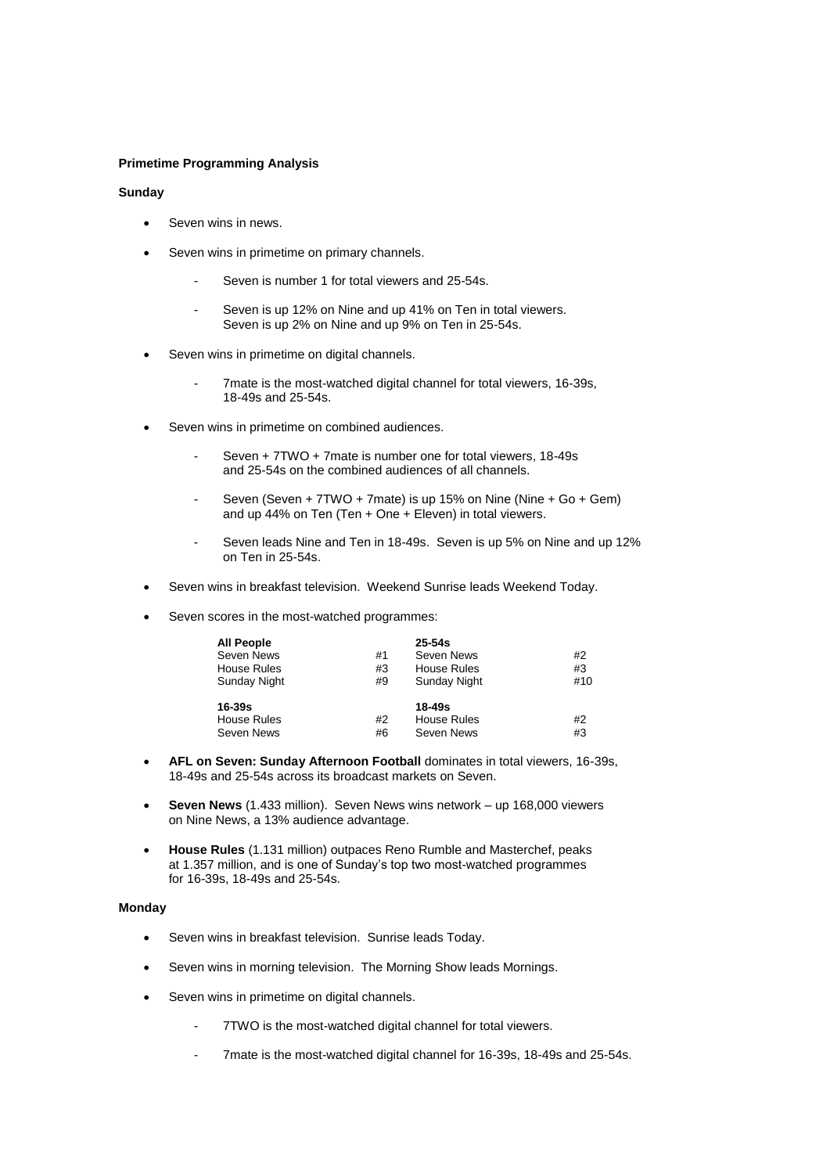## **Primetime Programming Analysis**

### **Sunday**

- Seven wins in news.
- Seven wins in primetime on primary channels.
	- Seven is number 1 for total viewers and 25-54s.
	- Seven is up 12% on Nine and up 41% on Ten in total viewers. Seven is up 2% on Nine and up 9% on Ten in 25-54s.
- Seven wins in primetime on digital channels.
	- 7mate is the most-watched digital channel for total viewers, 16-39s, 18-49s and 25-54s.
- Seven wins in primetime on combined audiences.
	- Seven + 7TWO + 7mate is number one for total viewers, 18-49s and 25-54s on the combined audiences of all channels.
	- Seven (Seven + 7TWO + 7mate) is up 15% on Nine (Nine + Go + Gem) and up 44% on Ten (Ten + One + Eleven) in total viewers.
	- Seven leads Nine and Ten in 18-49s. Seven is up 5% on Nine and up 12% on Ten in 25-54s.
- Seven wins in breakfast television. Weekend Sunrise leads Weekend Today.
- Seven scores in the most-watched programmes:

| <b>All People</b><br>Seven News<br><b>House Rules</b><br>Sunday Night | #1<br>#3<br>#9 | $25 - 54s$<br>Seven News<br><b>House Rules</b><br>Sunday Night | #2<br>#3<br>#10 |
|-----------------------------------------------------------------------|----------------|----------------------------------------------------------------|-----------------|
| 16-39s<br><b>House Rules</b><br>Seven News                            | #2<br>#6       | 18-49s<br><b>House Rules</b><br>Seven News                     | #2<br>#3        |

- **AFL on Seven: Sunday Afternoon Football** dominates in total viewers, 16-39s, 18-49s and 25-54s across its broadcast markets on Seven.
- **Seven News** (1.433 million). Seven News wins network up 168,000 viewers on Nine News, a 13% audience advantage.
- **House Rules** (1.131 million) outpaces Reno Rumble and Masterchef, peaks at 1.357 million, and is one of Sunday's top two most-watched programmes for 16-39s, 18-49s and 25-54s.

### **Monday**

- Seven wins in breakfast television. Sunrise leads Today.
- Seven wins in morning television. The Morning Show leads Mornings.
- Seven wins in primetime on digital channels.
	- 7TWO is the most-watched digital channel for total viewers.
	- 7mate is the most-watched digital channel for 16-39s, 18-49s and 25-54s.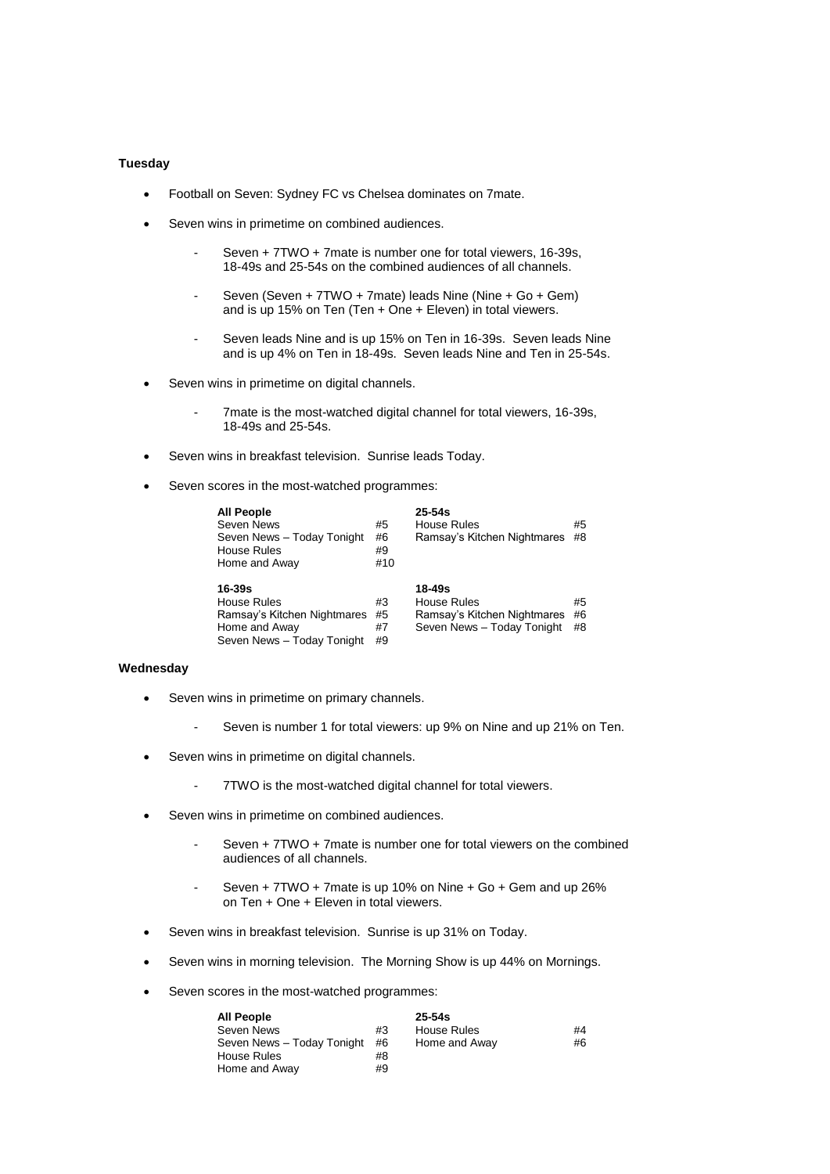## **Tuesday**

- Football on Seven: Sydney FC vs Chelsea dominates on 7mate.
- Seven wins in primetime on combined audiences.
	- Seven + 7TWO + 7mate is number one for total viewers, 16-39s, 18-49s and 25-54s on the combined audiences of all channels.
	- Seven (Seven + 7TWO + 7mate) leads Nine (Nine + Go + Gem) and is up 15% on Ten (Ten + One + Eleven) in total viewers.
	- Seven leads Nine and is up 15% on Ten in 16-39s. Seven leads Nine and is up 4% on Ten in 18-49s. Seven leads Nine and Ten in 25-54s.
- Seven wins in primetime on digital channels.
	- 7mate is the most-watched digital channel for total viewers, 16-39s, 18-49s and 25-54s.
- Seven wins in breakfast television. Sunrise leads Today.
- Seven scores in the most-watched programmes:

| <b>All People</b>           |     | $25 - 54s$                  |    |
|-----------------------------|-----|-----------------------------|----|
| Seven News                  | #5  | House Rules                 | #5 |
| Seven News - Today Tonight  | #6  | Ramsay's Kitchen Nightmares | #8 |
| <b>House Rules</b>          | #9  |                             |    |
| Home and Away               | #10 |                             |    |
|                             |     |                             |    |
|                             |     |                             |    |
| 16-39s                      |     | 18-49s                      |    |
| House Rules                 | #3  | House Rules                 | #5 |
| Ramsay's Kitchen Nightmares | #5  | Ramsay's Kitchen Nightmares | #6 |
| Home and Away               | #7  | Seven News - Today Tonight  | #8 |

## **Wednesday**

- Seven wins in primetime on primary channels.
	- Seven is number 1 for total viewers: up 9% on Nine and up 21% on Ten.
- Seven wins in primetime on digital channels.
	- 7TWO is the most-watched digital channel for total viewers.
- Seven wins in primetime on combined audiences.
	- Seven + 7TWO + 7mate is number one for total viewers on the combined audiences of all channels.
	- Seven + 7TWO + 7mate is up 10% on Nine + Go + Gem and up 26% on Ten + One + Eleven in total viewers.
- Seven wins in breakfast television. Sunrise is up 31% on Today.
- Seven wins in morning television. The Morning Show is up 44% on Mornings.
- Seven scores in the most-watched programmes:

| <b>All People</b>          |    | $25 - 54s$         |    |
|----------------------------|----|--------------------|----|
| Seven News                 | #3 | <b>House Rules</b> | #4 |
| Seven News - Today Tonight | #6 | Home and Away      | #6 |
| House Rules                | #8 |                    |    |
| Home and Away              | #9 |                    |    |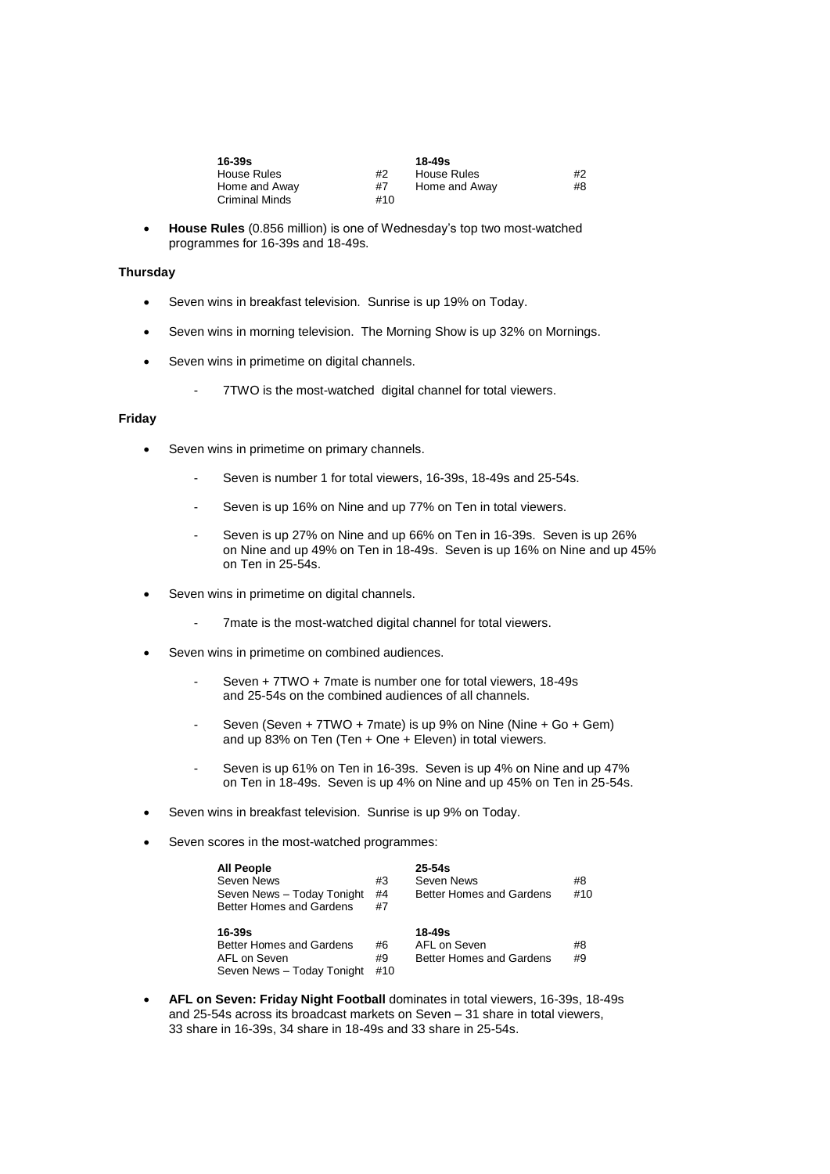| 16-39s         |     | $18 - 49s$    |    |
|----------------|-----|---------------|----|
| House Rules    | #2  | House Rules   | #2 |
| Home and Away  | #7  | Home and Away | #8 |
| Criminal Minds | #10 |               |    |

 **House Rules** (0.856 million) is one of Wednesday's top two most-watched programmes for 16-39s and 18-49s.

## **Thursday**

- Seven wins in breakfast television. Sunrise is up 19% on Today.
- Seven wins in morning television. The Morning Show is up 32% on Mornings.
- Seven wins in primetime on digital channels.
	- 7TWO is the most-watched digital channel for total viewers.

# **Friday**

- Seven wins in primetime on primary channels.
	- Seven is number 1 for total viewers, 16-39s, 18-49s and 25-54s.
	- Seven is up 16% on Nine and up 77% on Ten in total viewers.
	- Seven is up 27% on Nine and up 66% on Ten in 16-39s. Seven is up 26% on Nine and up 49% on Ten in 18-49s. Seven is up 16% on Nine and up 45% on Ten in 25-54s.
- Seven wins in primetime on digital channels.
	- 7mate is the most-watched digital channel for total viewers.
- Seven wins in primetime on combined audiences.
	- Seven + 7TWO + 7mate is number one for total viewers, 18-49s and 25-54s on the combined audiences of all channels.
	- Seven (Seven + 7TWO + 7mate) is up 9% on Nine (Nine + Go + Gem) and up 83% on Ten (Ten + One + Eleven) in total viewers.
	- Seven is up 61% on Ten in 16-39s. Seven is up 4% on Nine and up 47% on Ten in 18-49s. Seven is up 4% on Nine and up 45% on Ten in 25-54s.
- Seven wins in breakfast television. Sunrise is up 9% on Today.
- Seven scores in the most-watched programmes:

| All People<br>Seven News<br>Seven News - Today Tonight<br>Better Homes and Gardens | #3<br>#4<br>#7  | $25 - 54s$<br>Seven News<br>Better Homes and Gardens   | #8<br>#10 |
|------------------------------------------------------------------------------------|-----------------|--------------------------------------------------------|-----------|
| $16-39s$<br>Better Homes and Gardens<br>AFL on Seven<br>Seven News - Today Tonight | #6<br>#9<br>#10 | $18 - 49s$<br>AFL on Seven<br>Better Homes and Gardens | #8<br>#9  |

 **AFL on Seven: Friday Night Football** dominates in total viewers, 16-39s, 18-49s and 25-54s across its broadcast markets on Seven – 31 share in total viewers, 33 share in 16-39s, 34 share in 18-49s and 33 share in 25-54s.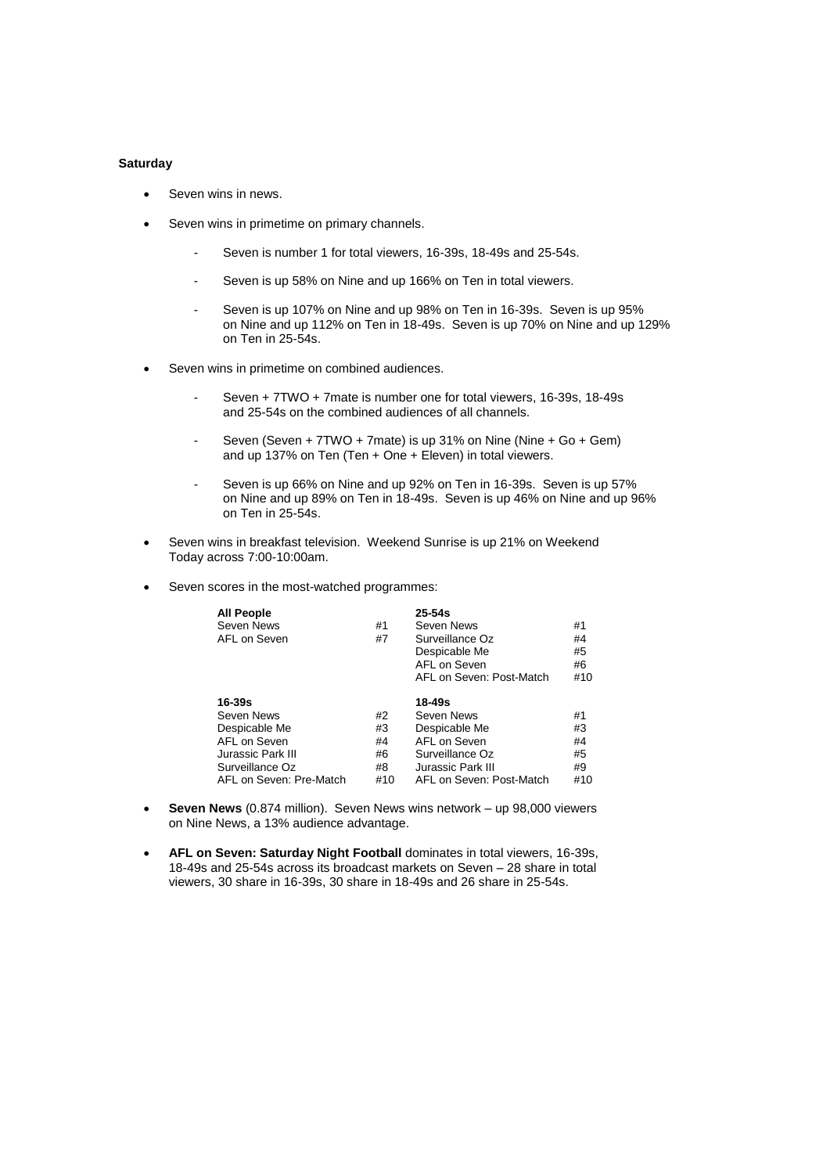## **Saturday**

- Seven wins in news.
- Seven wins in primetime on primary channels.
	- Seven is number 1 for total viewers, 16-39s, 18-49s and 25-54s.
	- Seven is up 58% on Nine and up 166% on Ten in total viewers.
	- Seven is up 107% on Nine and up 98% on Ten in 16-39s. Seven is up 95% on Nine and up 112% on Ten in 18-49s. Seven is up 70% on Nine and up 129% on Ten in 25-54s.
- Seven wins in primetime on combined audiences.
	- Seven + 7TWO + 7mate is number one for total viewers, 16-39s, 18-49s and 25-54s on the combined audiences of all channels.
	- Seven (Seven + 7TWO + 7mate) is up 31% on Nine (Nine + Go + Gem) and up 137% on Ten (Ten + One + Eleven) in total viewers.
	- Seven is up 66% on Nine and up 92% on Ten in 16-39s. Seven is up 57% on Nine and up 89% on Ten in 18-49s. Seven is up 46% on Nine and up 96% on Ten in 25-54s.
- Seven wins in breakfast television. Weekend Sunrise is up 21% on Weekend Today across 7:00-10:00am.
- Seven scores in the most-watched programmes:

| <b>All People</b><br>Seven News<br>AFL on Seven                                                   | #1<br>#7                   | $25 - 54s$<br>Seven News<br>Surveillance Oz<br>Despicable Me<br>AFL on Seven<br>AFL on Seven: Post-Match | #1<br>#4<br>#5<br>#6<br>#10 |
|---------------------------------------------------------------------------------------------------|----------------------------|----------------------------------------------------------------------------------------------------------|-----------------------------|
| $16 - 39s$<br>Seven News<br>Despicable Me<br>AFL on Seven<br>Jurassic Park III<br>Surveillance Oz | #2<br>#3<br>#4<br>#6<br>#8 | 18-49s<br>Seven News<br>Despicable Me<br>AFL on Seven<br>Surveillance Oz<br>Jurassic Park III            | #1<br>#3<br>#4<br>#5<br>#9  |
| AFL on Seven: Pre-Match                                                                           | #10                        | AFL on Seven: Post-Match                                                                                 | #10                         |

- **Seven News** (0.874 million). Seven News wins network up 98,000 viewers on Nine News, a 13% audience advantage.
- **AFL on Seven: Saturday Night Football** dominates in total viewers, 16-39s, 18-49s and 25-54s across its broadcast markets on Seven – 28 share in total viewers, 30 share in 16-39s, 30 share in 18-49s and 26 share in 25-54s.